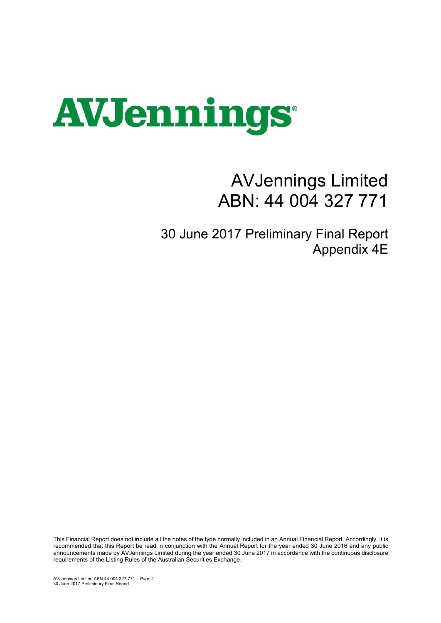

## AVJennings Limited ABN: 44 004 327 771

30 June 2017 Preliminary Final Report Appendix 4E

This Financial Report does not include all the notes of the type normally included in an Annual Financial Report. Accordingly, it is recommended that this Report be read in conjunction with the Annual Report for the year ended 30 June 2016 and any public announcements made by AVJennings Limited during the year ended 30 June 2017 in accordance with the continuous disclosure requirements of the Listing Rules of the Australian Securities Exchange.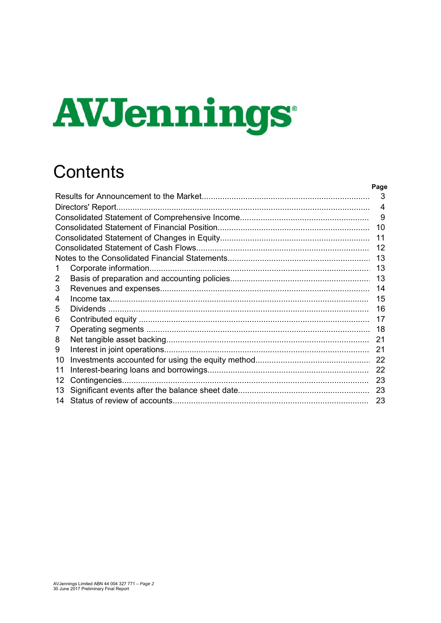# **AVJennings**

## **Contents**

|    | Page           |
|----|----------------|
|    | 3              |
|    | $\overline{4}$ |
|    | 9              |
|    | 10             |
|    | 11             |
|    | 12             |
|    | 13             |
| 1  | 13             |
| 2  | 13             |
| 3  | 14             |
| 4  | 15             |
| 5  | 16             |
| 6  | 17             |
| 7  | 18             |
| 8  | 21             |
| 9  | 21             |
| 10 | 22             |
| 11 | 22             |
| 12 | 23             |
| 13 | 23             |
|    | 23             |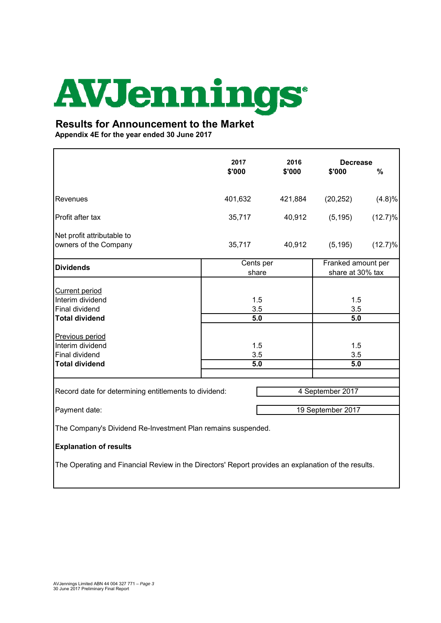# **AVJennings**

### **Results for Announcement to the Market**

**Appendix 4E for the year ended 30 June 2017**

|                                                                                                                 | 2017<br>\$'000     | 2016<br>\$'000 | <b>Decrease</b><br>\$'000              | %          |
|-----------------------------------------------------------------------------------------------------------------|--------------------|----------------|----------------------------------------|------------|
| Revenues                                                                                                        | 401,632            | 421,884        | (20, 252)                              | (4.8)%     |
| Profit after tax                                                                                                | 35,717             | 40,912         | (5, 195)                               | $(12.7)\%$ |
| Net profit attributable to<br>owners of the Company                                                             | 35,717             | 40,912         | (5, 195)                               | $(12.7)\%$ |
| <b>Dividends</b>                                                                                                | Cents per<br>share |                | Franked amount per<br>share at 30% tax |            |
| <b>Current period</b><br>Interim dividend<br><b>Final dividend</b><br><b>Total dividend</b>                     | 1.5<br>3.5<br>5.0  |                | 1.5<br>3.5<br>5.0                      |            |
| Previous period<br>Interim dividend<br>Final dividend<br><b>Total dividend</b>                                  | 1.5<br>3.5<br>5.0  |                | 1.5<br>3.5<br>5.0                      |            |
|                                                                                                                 |                    |                |                                        |            |
| 4 September 2017<br>Record date for determining entitlements to dividend:<br>Payment date:<br>19 September 2017 |                    |                |                                        |            |
| The Company's Dividend Re-Investment Plan remains suspended.                                                    |                    |                |                                        |            |
| <b>Explanation of results</b>                                                                                   |                    |                |                                        |            |
| The Operating and Financial Review in the Directors' Report provides an explanation of the results.             |                    |                |                                        |            |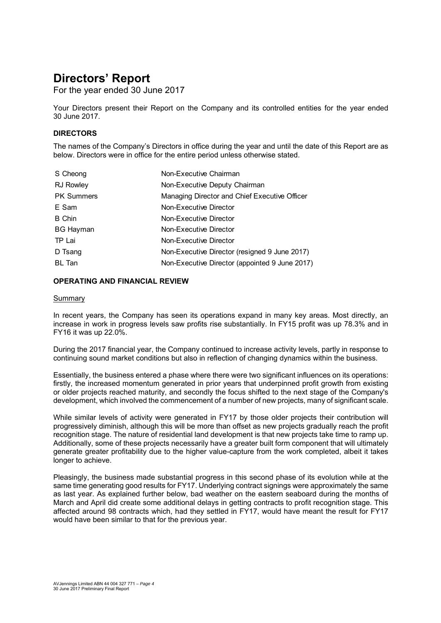For the year ended 30 June 2017

Your Directors present their Report on the Company and its controlled entities for the year ended 30 June 2017.

#### **DIRECTORS**

The names of the Company's Directors in office during the year and until the date of this Report are as below. Directors were in office for the entire period unless otherwise stated.

| S Cheong          | Non-Executive Chairman                         |
|-------------------|------------------------------------------------|
| <b>RJ Rowley</b>  | Non-Executive Deputy Chairman                  |
| <b>PK Summers</b> | Managing Director and Chief Executive Officer  |
| E Sam             | Non-Executive Director                         |
| <b>B</b> Chin     | Non-Executive Director                         |
| <b>BG Hayman</b>  | Non-Executive Director                         |
| TP Lai            | Non-Executive Director                         |
| D Tsang           | Non-Executive Director (resigned 9 June 2017)  |
| BL Tan            | Non-Executive Director (appointed 9 June 2017) |

#### **OPERATING AND FINANCIAL REVIEW**

#### Summary

In recent years, the Company has seen its operations expand in many key areas. Most directly, an increase in work in progress levels saw profits rise substantially. In FY15 profit was up 78.3% and in FY16 it was up 22.0%.

During the 2017 financial year, the Company continued to increase activity levels, partly in response to continuing sound market conditions but also in reflection of changing dynamics within the business.

Essentially, the business entered a phase where there were two significant influences on its operations: firstly, the increased momentum generated in prior years that underpinned profit growth from existing or older projects reached maturity, and secondly the focus shifted to the next stage of the Company's development, which involved the commencement of a number of new projects, many of significant scale.

While similar levels of activity were generated in FY17 by those older projects their contribution will progressively diminish, although this will be more than offset as new projects gradually reach the profit recognition stage. The nature of residential land development is that new projects take time to ramp up. Additionally, some of these projects necessarily have a greater built form component that will ultimately generate greater profitability due to the higher value-capture from the work completed, albeit it takes longer to achieve.

Pleasingly, the business made substantial progress in this second phase of its evolution while at the same time generating good results for FY17. Underlying contract signings were approximately the same as last year. As explained further below, bad weather on the eastern seaboard during the months of March and April did create some additional delays in getting contracts to profit recognition stage. This affected around 98 contracts which, had they settled in FY17, would have meant the result for FY17 would have been similar to that for the previous year.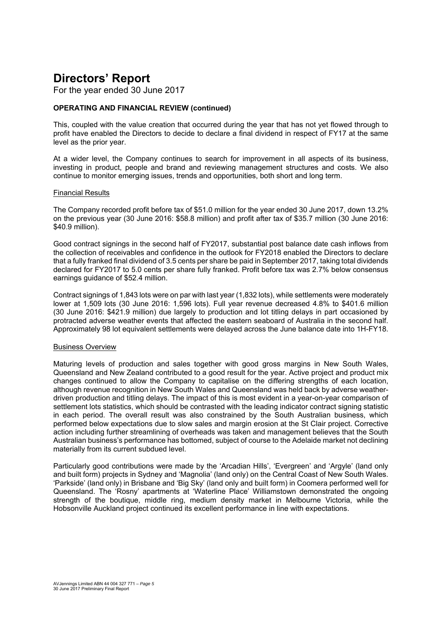For the year ended 30 June 2017

#### **OPERATING AND FINANCIAL REVIEW (continued)**

This, coupled with the value creation that occurred during the year that has not yet flowed through to profit have enabled the Directors to decide to declare a final dividend in respect of FY17 at the same level as the prior year.

At a wider level, the Company continues to search for improvement in all aspects of its business, investing in product, people and brand and reviewing management structures and costs. We also continue to monitor emerging issues, trends and opportunities, both short and long term.

#### Financial Results

The Company recorded profit before tax of \$51.0 million for the year ended 30 June 2017, down 13.2% on the previous year (30 June 2016: \$58.8 million) and profit after tax of \$35.7 million (30 June 2016: \$40.9 million).

Good contract signings in the second half of FY2017, substantial post balance date cash inflows from the collection of receivables and confidence in the outlook for FY2018 enabled the Directors to declare that a fully franked final dividend of 3.5 cents per share be paid in September 2017, taking total dividends declared for FY2017 to 5.0 cents per share fully franked. Profit before tax was 2.7% below consensus earnings guidance of \$52.4 million.

Contract signings of 1,843 lots were on par with last year (1,832 lots), while settlements were moderately lower at 1,509 lots (30 June 2016: 1,596 lots). Full year revenue decreased 4.8% to \$401.6 million (30 June 2016: \$421.9 million) due largely to production and lot titling delays in part occasioned by protracted adverse weather events that affected the eastern seaboard of Australia in the second half. Approximately 98 lot equivalent settlements were delayed across the June balance date into 1H-FY18.

#### Business Overview

Maturing levels of production and sales together with good gross margins in New South Wales, Queensland and New Zealand contributed to a good result for the year. Active project and product mix changes continued to allow the Company to capitalise on the differing strengths of each location, although revenue recognition in New South Wales and Queensland was held back by adverse weatherdriven production and titling delays. The impact of this is most evident in a year-on-year comparison of settlement lots statistics, which should be contrasted with the leading indicator contract signing statistic in each period. The overall result was also constrained by the South Australian business, which performed below expectations due to slow sales and margin erosion at the St Clair project. Corrective action including further streamlining of overheads was taken and management believes that the South Australian business's performance has bottomed, subject of course to the Adelaide market not declining materially from its current subdued level.

Particularly good contributions were made by the 'Arcadian Hills', 'Evergreen' and 'Argyle' (land only and built form) projects in Sydney and 'Magnolia' (land only) on the Central Coast of New South Wales. 'Parkside' (land only) in Brisbane and 'Big Sky' (land only and built form) in Coomera performed well for Queensland. The 'Rosny' apartments at 'Waterline Place' Williamstown demonstrated the ongoing strength of the boutique, middle ring, medium density market in Melbourne Victoria, while the Hobsonville Auckland project continued its excellent performance in line with expectations.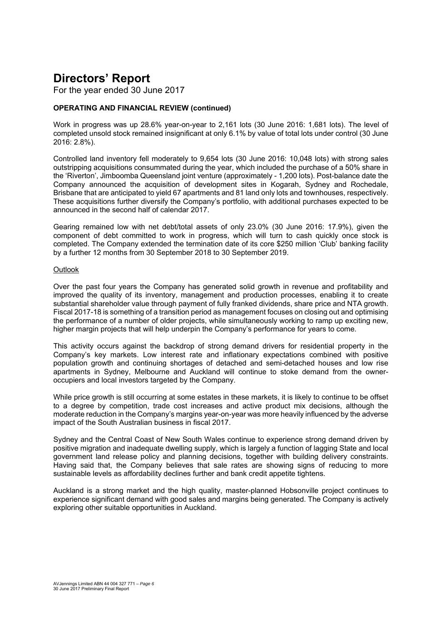For the year ended 30 June 2017

#### **OPERATING AND FINANCIAL REVIEW (continued)**

Work in progress was up 28.6% year-on-year to 2,161 lots (30 June 2016: 1,681 lots). The level of completed unsold stock remained insignificant at only 6.1% by value of total lots under control (30 June 2016: 2.8%).

Controlled land inventory fell moderately to 9,654 lots (30 June 2016: 10,048 lots) with strong sales outstripping acquisitions consummated during the year, which included the purchase of a 50% share in the 'Riverton', Jimboomba Queensland joint venture (approximately - 1,200 lots). Post-balance date the Company announced the acquisition of development sites in Kogarah, Sydney and Rochedale, Brisbane that are anticipated to yield 67 apartments and 81 land only lots and townhouses, respectively. These acquisitions further diversify the Company's portfolio, with additional purchases expected to be announced in the second half of calendar 2017.

Gearing remained low with net debt/total assets of only 23.0% (30 June 2016: 17.9%), given the component of debt committed to work in progress, which will turn to cash quickly once stock is completed. The Company extended the termination date of its core \$250 million 'Club' banking facility by a further 12 months from 30 September 2018 to 30 September 2019.

#### **Outlook**

Over the past four years the Company has generated solid growth in revenue and profitability and improved the quality of its inventory, management and production processes, enabling it to create substantial shareholder value through payment of fully franked dividends, share price and NTA growth. Fiscal 2017-18 is something of a transition period as management focuses on closing out and optimising the performance of a number of older projects, while simultaneously working to ramp up exciting new, higher margin projects that will help underpin the Company's performance for years to come.

This activity occurs against the backdrop of strong demand drivers for residential property in the Company's key markets. Low interest rate and inflationary expectations combined with positive population growth and continuing shortages of detached and semi-detached houses and low rise apartments in Sydney, Melbourne and Auckland will continue to stoke demand from the owneroccupiers and local investors targeted by the Company.

While price growth is still occurring at some estates in these markets, it is likely to continue to be offset to a degree by competition, trade cost increases and active product mix decisions, although the moderate reduction in the Company's margins year-on-year was more heavily influenced by the adverse impact of the South Australian business in fiscal 2017.

Sydney and the Central Coast of New South Wales continue to experience strong demand driven by positive migration and inadequate dwelling supply, which is largely a function of lagging State and local government land release policy and planning decisions, together with building delivery constraints. Having said that, the Company believes that sale rates are showing signs of reducing to more sustainable levels as affordability declines further and bank credit appetite tightens.

Auckland is a strong market and the high quality, master-planned Hobsonville project continues to experience significant demand with good sales and margins being generated. The Company is actively exploring other suitable opportunities in Auckland.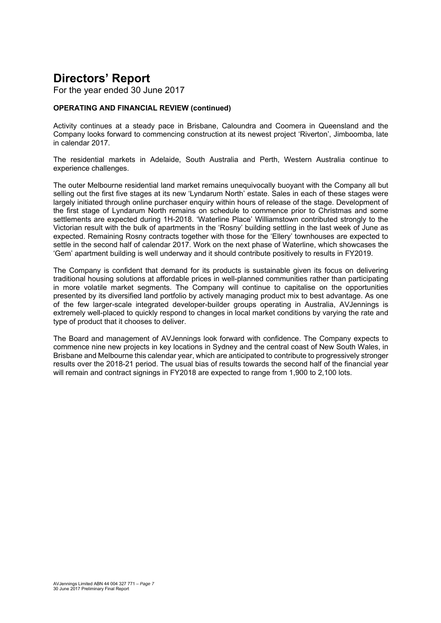For the year ended 30 June 2017

#### **OPERATING AND FINANCIAL REVIEW (continued)**

Activity continues at a steady pace in Brisbane, Caloundra and Coomera in Queensland and the Company looks forward to commencing construction at its newest project 'Riverton', Jimboomba, late in calendar 2017.

The residential markets in Adelaide, South Australia and Perth, Western Australia continue to experience challenges.

The outer Melbourne residential land market remains unequivocally buoyant with the Company all but selling out the first five stages at its new 'Lyndarum North' estate. Sales in each of these stages were largely initiated through online purchaser enquiry within hours of release of the stage. Development of the first stage of Lyndarum North remains on schedule to commence prior to Christmas and some settlements are expected during 1H-2018. 'Waterline Place' Williamstown contributed strongly to the Victorian result with the bulk of apartments in the 'Rosny' building settling in the last week of June as expected. Remaining Rosny contracts together with those for the 'Ellery' townhouses are expected to settle in the second half of calendar 2017. Work on the next phase of Waterline, which showcases the 'Gem' apartment building is well underway and it should contribute positively to results in FY2019.

The Company is confident that demand for its products is sustainable given its focus on delivering traditional housing solutions at affordable prices in well-planned communities rather than participating in more volatile market segments. The Company will continue to capitalise on the opportunities presented by its diversified land portfolio by actively managing product mix to best advantage. As one of the few larger-scale integrated developer-builder groups operating in Australia, AVJennings is extremely well-placed to quickly respond to changes in local market conditions by varying the rate and type of product that it chooses to deliver.

The Board and management of AVJennings look forward with confidence. The Company expects to commence nine new projects in key locations in Sydney and the central coast of New South Wales, in Brisbane and Melbourne this calendar year, which are anticipated to contribute to progressively stronger results over the 2018-21 period. The usual bias of results towards the second half of the financial year will remain and contract signings in FY2018 are expected to range from 1,900 to 2,100 lots.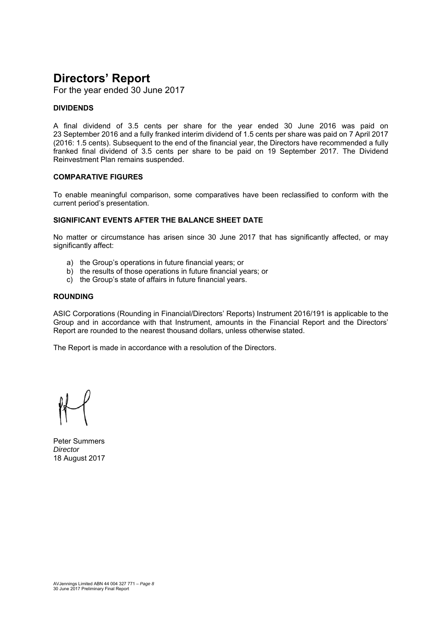For the year ended 30 June 2017

#### **DIVIDENDS**

A final dividend of 3.5 cents per share for the year ended 30 June 2016 was paid on 23 September 2016 and a fully franked interim dividend of 1.5 cents per share was paid on 7 April 2017 (2016: 1.5 cents). Subsequent to the end of the financial year, the Directors have recommended a fully franked final dividend of 3.5 cents per share to be paid on 19 September 2017. The Dividend Reinvestment Plan remains suspended.

#### **COMPARATIVE FIGURES**

To enable meaningful comparison, some comparatives have been reclassified to conform with the current period's presentation.

#### **SIGNIFICANT EVENTS AFTER THE BALANCE SHEET DATE**

No matter or circumstance has arisen since 30 June 2017 that has significantly affected, or may significantly affect:

- a) the Group's operations in future financial years; or
- b) the results of those operations in future financial years; or
- c) the Group's state of affairs in future financial years.

#### **ROUNDING**

ASIC Corporations (Rounding in Financial/Directors' Reports) Instrument 2016/191 is applicable to the Group and in accordance with that Instrument, amounts in the Financial Report and the Directors' Report are rounded to the nearest thousand dollars, unless otherwise stated.

The Report is made in accordance with a resolution of the Directors.

Peter Summers *Director*  18 August 2017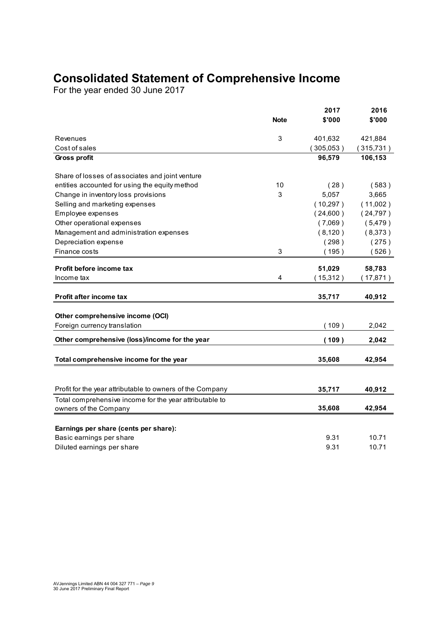## **Consolidated Statement of Comprehensive Income**

For the year ended 30 June 2017

|                                                           | <b>Note</b> | 2017<br>\$'000 | 2016<br>\$'000 |
|-----------------------------------------------------------|-------------|----------------|----------------|
|                                                           |             |                |                |
| Revenues                                                  | 3           | 401,632        | 421,884        |
| Cost of sales                                             |             | (305,053)      | (315, 731)     |
| Gross profit                                              |             | 96,579         | 106,153        |
| Share of losses of associates and joint venture           |             |                |                |
| entities accounted for using the equity method            | 10          | (28)           | (583)          |
| Change in inventory loss provisions                       | 3           | 5,057          | 3,665          |
| Selling and marketing expenses                            |             | (10, 297)      | (11,002)       |
| Employee expenses                                         |             | (24,600)       | (24, 797)      |
| Other operational expenses                                |             | (7,069)        | (5,479)        |
| Management and administration expenses                    |             | (8, 120)       | (8,373)        |
| Depreciation expense                                      |             | (298)          | (275)          |
| Finance costs                                             | 3           | (195)          | (526)          |
| Profit before income tax                                  |             | 51,029         | 58,783         |
| Income tax                                                | 4           | (15, 312)      | 17,871)        |
|                                                           |             |                |                |
| <b>Profit after income tax</b>                            |             | 35,717         | 40,912         |
| Other comprehensive income (OCI)                          |             |                |                |
| Foreign currency translation                              |             | (109)          | 2,042          |
| Other comprehensive (loss)/income for the year            |             | (109)          | 2,042          |
| Total comprehensive income for the year                   |             | 35,608         | 42,954         |
|                                                           |             |                |                |
| Profit for the year attributable to owners of the Company |             | 35,717         | 40,912         |
| Total comprehensive income for the year attributable to   |             |                |                |
| owners of the Company                                     |             | 35,608         | 42,954         |
| Earnings per share (cents per share):                     |             |                |                |
| Basic earnings per share                                  |             | 9.31           | 10.71          |
| Diluted earnings per share                                |             | 9.31           | 10.71          |
|                                                           |             |                |                |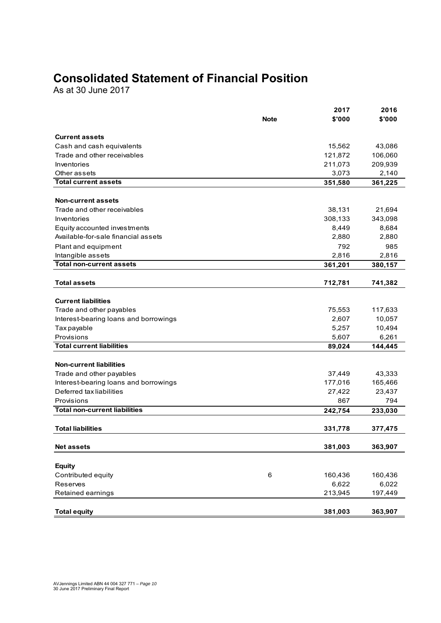## **Consolidated Statement of Financial Position**

As at 30 June 2017

|                                                      |             | 2017    | 2016    |
|------------------------------------------------------|-------------|---------|---------|
|                                                      | <b>Note</b> | \$'000  | \$'000  |
| <b>Current assets</b>                                |             |         |         |
| Cash and cash equivalents                            |             | 15,562  | 43,086  |
| Trade and other receivables                          |             | 121,872 | 106,060 |
| Inventories                                          |             | 211,073 | 209,939 |
| Other assets                                         |             | 3,073   | 2,140   |
| <b>Total current assets</b>                          |             | 351,580 | 361,225 |
|                                                      |             |         |         |
| <b>Non-current assets</b>                            |             |         |         |
| Trade and other receivables                          |             | 38,131  | 21,694  |
| Inventories                                          |             | 308,133 | 343,098 |
| Equity accounted investments                         |             | 8,449   | 8,684   |
| Available-for-sale financial assets                  |             | 2,880   | 2,880   |
| Plant and equipment                                  |             | 792     | 985     |
| Intangible assets<br><b>Total non-current assets</b> |             | 2,816   | 2,816   |
|                                                      |             | 361,201 | 380,157 |
| <b>Total assets</b>                                  |             | 712,781 | 741,382 |
|                                                      |             |         |         |
| <b>Current liabilities</b>                           |             |         |         |
| Trade and other payables                             |             | 75,553  | 117,633 |
| Interest-bearing loans and borrowings                |             | 2,607   | 10,057  |
| Tax payable                                          |             | 5,257   | 10,494  |
| Provisions                                           |             | 5,607   | 6,261   |
| <b>Total current liabilities</b>                     |             | 89,024  | 144,445 |
| <b>Non-current liabilities</b>                       |             |         |         |
| Trade and other payables                             |             | 37,449  | 43,333  |
| Interest-bearing loans and borrowings                |             | 177,016 | 165,466 |
| Deferred tax liabilities                             |             | 27,422  | 23,437  |
| Provisions                                           |             | 867     | 794     |
| <b>Total non-current liabilities</b>                 |             | 242,754 | 233,030 |
|                                                      |             |         |         |
| <b>Total liabilities</b>                             |             | 331,778 | 377,475 |
| <b>Net assets</b>                                    |             | 381,003 | 363,907 |
|                                                      |             |         |         |
| <b>Equity</b>                                        |             |         |         |
| Contributed equity                                   | 6           | 160,436 | 160,436 |
| Reserves                                             |             | 6,622   | 6,022   |
| Retained earnings                                    |             | 213,945 | 197,449 |
|                                                      |             |         |         |
| <b>Total equity</b>                                  |             | 381,003 | 363,907 |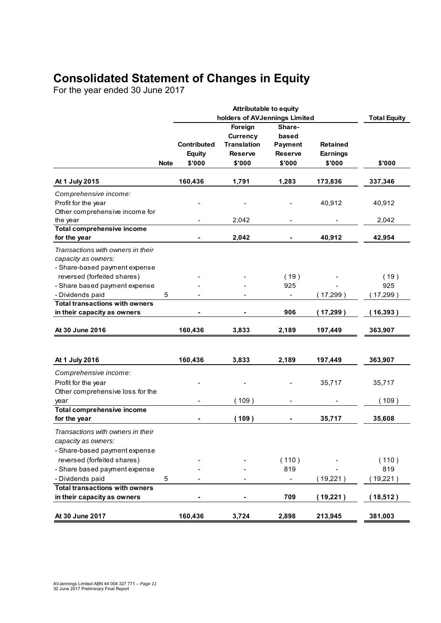## **Consolidated Statement of Changes in Equity**

For the year ended 30 June 2017

|                                       |             | <b>Attributable to equity</b> |                    |                          |                 |                     |
|---------------------------------------|-------------|-------------------------------|--------------------|--------------------------|-----------------|---------------------|
|                                       |             | holders of AVJennings Limited |                    |                          |                 | <b>Total Equity</b> |
|                                       |             |                               | Foreign            | Share-                   |                 |                     |
|                                       |             |                               | <b>Currency</b>    | based                    |                 |                     |
|                                       |             | <b>Contributed</b>            | <b>Translation</b> | <b>Payment</b>           | <b>Retained</b> |                     |
|                                       |             | <b>Equity</b>                 | <b>Reserve</b>     | <b>Reserve</b>           | Earnings        |                     |
|                                       | <b>Note</b> | \$'000                        | \$'000             | \$'000                   | \$'000          | \$'000              |
|                                       |             |                               |                    |                          |                 |                     |
| At 1 July 2015                        |             | 160,436                       | 1,791              | 1,283                    | 173,836         | 337,346             |
| Comprehensive income:                 |             |                               |                    |                          |                 |                     |
| Profit for the year                   |             |                               |                    |                          | 40,912          | 40,912              |
| Other comprehensive income for        |             |                               |                    |                          |                 |                     |
| the year                              |             |                               | 2,042              |                          |                 | 2,042               |
| <b>Total comprehensive income</b>     |             |                               |                    |                          |                 |                     |
| for the year                          |             |                               | 2,042              |                          | 40,912          | 42,954              |
| Transactions with owners in their     |             |                               |                    |                          |                 |                     |
| capacity as owners:                   |             |                               |                    |                          |                 |                     |
| - Share-based payment expense         |             |                               |                    |                          |                 |                     |
| reversed (forfeited shares)           |             |                               |                    | (19)                     |                 | (19)                |
| - Share based payment expense         |             |                               |                    | 925                      |                 | 925                 |
|                                       |             |                               |                    |                          |                 |                     |
| - Dividends paid                      | 5           |                               |                    |                          | (17, 299)       | (17, 299)           |
| <b>Total transactions with owners</b> |             |                               |                    |                          |                 |                     |
| in their capacity as owners           |             |                               |                    | 906                      | (17, 299)       | 16,393)             |
| At 30 June 2016                       |             | 160,436                       | 3,833              | 2,189                    | 197,449         | 363,907             |
|                                       |             |                               |                    |                          |                 |                     |
| At 1 July 2016                        |             | 160,436                       | 3,833              | 2,189                    | 197,449         | 363,907             |
|                                       |             |                               |                    |                          |                 |                     |
| Comprehensive income:                 |             |                               |                    |                          |                 |                     |
| Profit for the year                   |             |                               |                    |                          | 35,717          | 35,717              |
| Other comprehensive loss for the      |             |                               |                    |                          |                 |                     |
| year                                  |             |                               | (109)              |                          |                 | (109)               |
| <b>Total comprehensive income</b>     |             |                               |                    |                          |                 |                     |
| for the year                          |             |                               | (109)              |                          | 35,717          | 35,608              |
| Transactions with owners in their     |             |                               |                    |                          |                 |                     |
| capacity as owners:                   |             |                               |                    |                          |                 |                     |
|                                       |             |                               |                    |                          |                 |                     |
| - Share-based payment expense         |             |                               |                    |                          |                 |                     |
| reversed (forfeited shares)           |             |                               |                    | (110)                    |                 | (110)               |
| - Share based payment expense         |             |                               |                    | 819                      |                 | 819                 |
| - Dividends paid                      | 5           |                               |                    | $\overline{\phantom{a}}$ | (19,221)        | (19,221)            |
| <b>Total transactions with owners</b> |             |                               |                    |                          |                 |                     |
| in their capacity as owners           |             |                               |                    | 709                      | (19, 221)       | (18,512)            |
|                                       |             |                               |                    |                          |                 |                     |
| At 30 June 2017                       |             | 160,436                       | 3,724              | 2,898                    | 213,945         | 381,003             |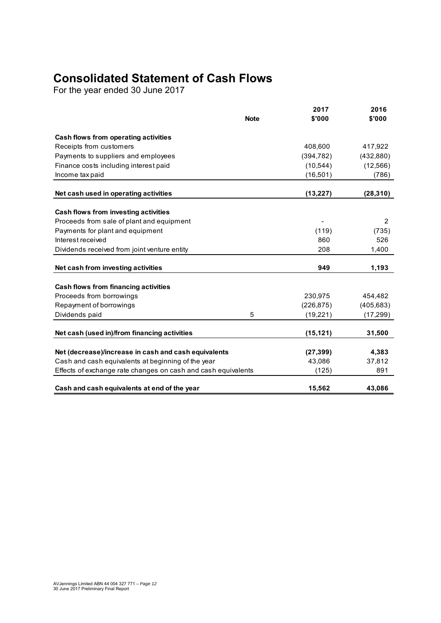## **Consolidated Statement of Cash Flows**

For the year ended 30 June 2017

|                                                               | <b>Note</b> | 2017<br>\$'000 | 2016<br>\$'000 |
|---------------------------------------------------------------|-------------|----------------|----------------|
| Cash flows from operating activities                          |             |                |                |
| Receipts from customers                                       |             | 408,600        | 417,922        |
| Payments to suppliers and employees                           |             | (394, 782)     | (432, 880)     |
| Finance costs including interest paid                         |             | (10, 544)      | (12, 566)      |
| Income tax paid                                               |             | (16, 501)      | (786)          |
|                                                               |             |                |                |
| Net cash used in operating activities                         |             | (13, 227)      | (28, 310)      |
| Cash flows from investing activities                          |             |                |                |
| Proceeds from sale of plant and equipment                     |             |                | 2              |
| Payments for plant and equipment                              |             | (119)          | (735)          |
| Interest received                                             |             | 860            | 526            |
| Dividends received from joint venture entity                  |             | 208            | 1,400          |
| Net cash from investing activities                            |             | 949            | 1,193          |
| Cash flows from financing activities                          |             |                |                |
| Proceeds from borrowings                                      |             | 230,975        | 454,482        |
| Repayment of borrowings                                       |             | (226, 875)     | (405, 683)     |
| Dividends paid                                                | 5           | (19, 221)      | (17, 299)      |
|                                                               |             |                |                |
| Net cash (used in)/from financing activities                  |             | (15, 121)      | 31,500         |
| Net (decrease)/increase in cash and cash equivalents          |             | (27, 399)      | 4,383          |
| Cash and cash equivalents at beginning of the year            |             | 43,086         | 37,812         |
| Effects of exchange rate changes on cash and cash equivalents |             | (125)          | 891            |
| Cash and cash equivalents at end of the year                  |             | 15,562         | 43,086         |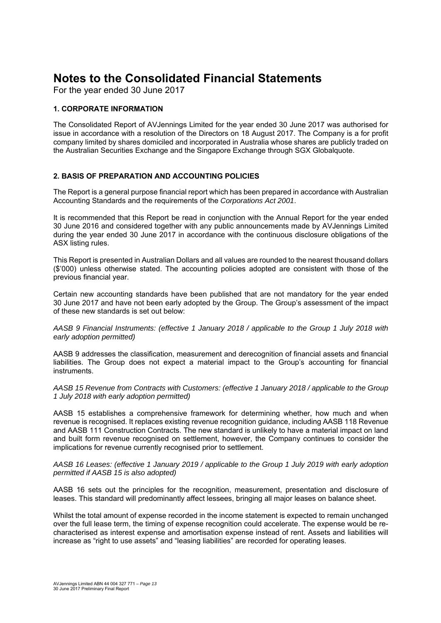For the year ended 30 June 2017

#### **1. CORPORATE INFORMATION**

The Consolidated Report of AVJennings Limited for the year ended 30 June 2017 was authorised for issue in accordance with a resolution of the Directors on 18 August 2017. The Company is a for profit company limited by shares domiciled and incorporated in Australia whose shares are publicly traded on the Australian Securities Exchange and the Singapore Exchange through SGX Globalquote.

#### **2. BASIS OF PREPARATION AND ACCOUNTING POLICIES**

The Report is a general purpose financial report which has been prepared in accordance with Australian Accounting Standards and the requirements of the *Corporations Act 2001*.

It is recommended that this Report be read in conjunction with the Annual Report for the year ended 30 June 2016 and considered together with any public announcements made by AVJennings Limited during the year ended 30 June 2017 in accordance with the continuous disclosure obligations of the ASX listing rules.

This Report is presented in Australian Dollars and all values are rounded to the nearest thousand dollars (\$'000) unless otherwise stated. The accounting policies adopted are consistent with those of the previous financial year.

Certain new accounting standards have been published that are not mandatory for the year ended 30 June 2017 and have not been early adopted by the Group. The Group's assessment of the impact of these new standards is set out below:

*AASB 9 Financial Instruments: (effective 1 January 2018 / applicable to the Group 1 July 2018 with early adoption permitted)* 

AASB 9 addresses the classification, measurement and derecognition of financial assets and financial liabilities. The Group does not expect a material impact to the Group's accounting for financial instruments.

*AASB 15 Revenue from Contracts with Customers: (effective 1 January 2018 / applicable to the Group 1 July 2018 with early adoption permitted)* 

AASB 15 establishes a comprehensive framework for determining whether, how much and when revenue is recognised. It replaces existing revenue recognition guidance, including AASB 118 Revenue and AASB 111 Construction Contracts. The new standard is unlikely to have a material impact on land and built form revenue recognised on settlement, however, the Company continues to consider the implications for revenue currently recognised prior to settlement.

*AASB 16 Leases: (effective 1 January 2019 / applicable to the Group 1 July 2019 with early adoption permitted if AASB 15 is also adopted)* 

AASB 16 sets out the principles for the recognition, measurement, presentation and disclosure of leases. This standard will predominantly affect lessees, bringing all major leases on balance sheet.

Whilst the total amount of expense recorded in the income statement is expected to remain unchanged over the full lease term, the timing of expense recognition could accelerate. The expense would be recharacterised as interest expense and amortisation expense instead of rent. Assets and liabilities will increase as "right to use assets" and "leasing liabilities" are recorded for operating leases.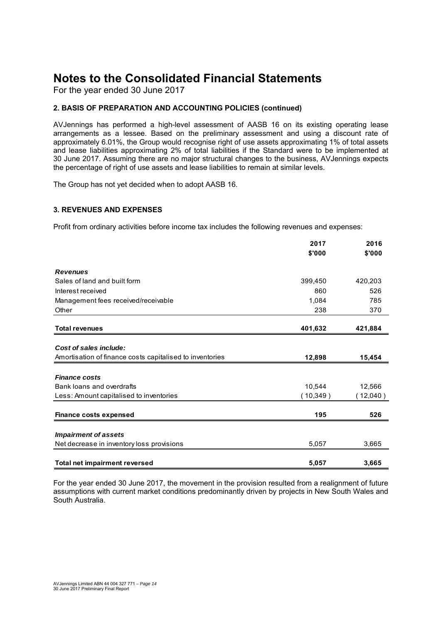For the year ended 30 June 2017

#### **2. BASIS OF PREPARATION AND ACCOUNTING POLICIES (continued)**

AVJennings has performed a high-level assessment of AASB 16 on its existing operating lease arrangements as a lessee. Based on the preliminary assessment and using a discount rate of approximately 6.01%, the Group would recognise right of use assets approximating 1% of total assets and lease liabilities approximating 2% of total liabilities if the Standard were to be implemented at 30 June 2017. Assuming there are no major structural changes to the business, AVJennings expects the percentage of right of use assets and lease liabilities to remain at similar levels.

The Group has not yet decided when to adopt AASB 16.

#### **3. REVENUES AND EXPENSES**

Profit from ordinary activities before income tax includes the following revenues and expenses:

|                                                          | 2017      | 2016       |
|----------------------------------------------------------|-----------|------------|
|                                                          | \$'000    | \$'000     |
| <b>Revenues</b>                                          |           |            |
| Sales of land and built form                             | 399,450   | 420,203    |
| Interest received                                        | 860       | 526        |
| Management fees received/receivable                      | 1,084     | 785        |
| Other                                                    | 238       | 370        |
| <b>Total revenues</b>                                    | 401,632   | 421,884    |
| Cost of sales include:                                   |           |            |
| Amortisation of finance costs capitalised to inventories | 12,898    | 15,454     |
| <b>Finance costs</b>                                     |           |            |
| Bank loans and overdrafts                                | 10,544    | 12.566     |
| Less: Amount capitalised to inventories                  | (10, 349) | $12,040$ ) |
| <b>Finance costs expensed</b>                            | 195       | 526        |
| <b>Impairment of assets</b>                              |           |            |
| Net decrease in inventory loss provisions                | 5,057     | 3,665      |
| <b>Total net impairment reversed</b>                     | 5,057     | 3,665      |

For the year ended 30 June 2017, the movement in the provision resulted from a realignment of future assumptions with current market conditions predominantly driven by projects in New South Wales and South Australia.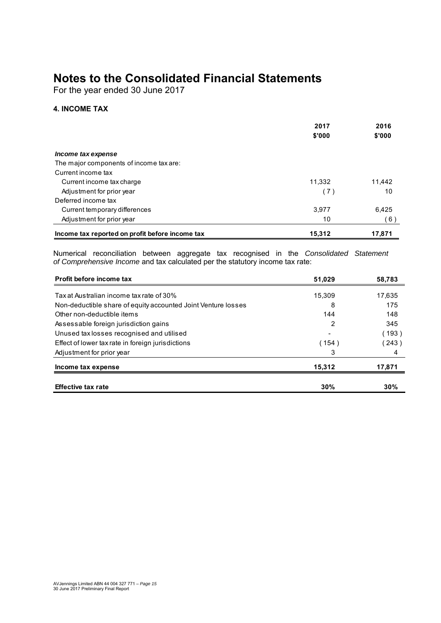For the year ended 30 June 2017

#### **4. INCOME TAX**

|                                                 | 2017<br>\$'000 | 2016<br>\$'000 |
|-------------------------------------------------|----------------|----------------|
| Income tax expense                              |                |                |
| The major components of income tax are:         |                |                |
| Current income tax                              |                |                |
| Current income tax charge                       | 11.332         | 11.442         |
| Adjustment for prior year                       | (7)            | 10             |
| Deferred income tax                             |                |                |
| Current temporary differences                   | 3.977          | 6,425          |
| Adjustment for prior year                       | 10             | (6)            |
| Income tax reported on profit before income tax | 15,312         | 17,871         |

Numerical reconciliation between aggregate tax recognised in the *Consolidated Statement of Comprehensive Income* and tax calculated per the statutory income tax rate:

| Profit before income tax                                      | 51.029 | 58,783 |
|---------------------------------------------------------------|--------|--------|
| Tax at Australian income tax rate of 30%                      | 15,309 | 17,635 |
| Non-deductible share of equity accounted Joint Venture losses | 8      | 175    |
| Other non-deductible items                                    | 144    | 148    |
| Assessable foreign jurisdiction gains                         | 2      | 345    |
| Unused tax losses recognised and utilised                     |        | (193)  |
| Effect of lower tax rate in foreign jurisdictions             | (154)  | (243)  |
| Adjustment for prior year                                     | 3      | 4      |
| Income tax expense                                            | 15.312 | 17,871 |
| <b>Effective tax rate</b>                                     | 30%    | 30%    |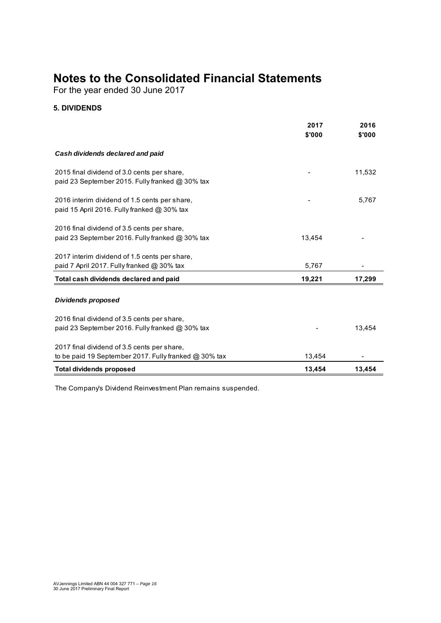For the year ended 30 June 2017

#### **5. DIVIDENDS**

|                                                                                                | 2017<br>\$'000 | 2016<br>\$'000 |
|------------------------------------------------------------------------------------------------|----------------|----------------|
|                                                                                                |                |                |
| Cash dividends declared and paid                                                               |                |                |
| 2015 final dividend of 3.0 cents per share.<br>paid 23 September 2015. Fully franked @ 30% tax |                | 11,532         |
| 2016 interim dividend of 1.5 cents per share.<br>paid 15 April 2016. Fully franked @ 30% tax   |                | 5,767          |
| 2016 final dividend of 3.5 cents per share,                                                    |                |                |
| paid 23 September 2016. Fully franked @ 30% tax                                                | 13,454         |                |
| 2017 interim dividend of 1.5 cents per share,<br>paid 7 April 2017. Fully franked @ 30% tax    | 5,767          |                |
| Total cash dividends declared and paid                                                         | 19,221         | 17,299         |
| <b>Dividends proposed</b>                                                                      |                |                |
| 2016 final dividend of 3.5 cents per share,                                                    |                |                |
| paid 23 September 2016. Fully franked @ 30% tax                                                |                | 13.454         |
| 2017 final dividend of 3.5 cents per share,                                                    |                |                |
| to be paid 19 September 2017. Fully franked @ 30% tax                                          | 13,454         |                |
| <b>Total dividends proposed</b>                                                                | 13,454         | 13,454         |

The Company's Dividend Reinvestment Plan remains suspended.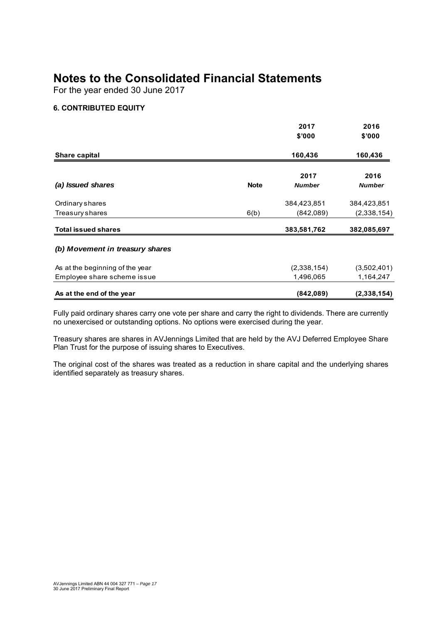For the year ended 30 June 2017

#### **6. CONTRIBUTED EQUITY**

|                                 |             | 2017                  | 2016                  |
|---------------------------------|-------------|-----------------------|-----------------------|
|                                 |             | \$'000                | \$'000                |
| Share capital                   |             | 160,436               | 160,436               |
| (a) Issued shares               | <b>Note</b> | 2017<br><b>Number</b> | 2016<br><b>Number</b> |
| Ordinary shares                 |             | 384,423,851           | 384,423,851           |
| Treasury shares                 | 6(b)        | (842,089)             | (2,338,154)           |
| <b>Total issued shares</b>      |             | 383,581,762           | 382,085,697           |
| (b) Movement in treasury shares |             |                       |                       |
| As at the beginning of the year |             | (2,338,154)           | (3,502,401)           |
| Employee share scheme issue     |             | 1,496,065             | 1,164,247             |
| As at the end of the year       |             | (842,089)             | (2,338,154)           |

Fully paid ordinary shares carry one vote per share and carry the right to dividends. There are currently no unexercised or outstanding options. No options were exercised during the year.

Treasury shares are shares in AVJennings Limited that are held by the AVJ Deferred Employee Share Plan Trust for the purpose of issuing shares to Executives.

The original cost of the shares was treated as a reduction in share capital and the underlying shares identified separately as treasury shares.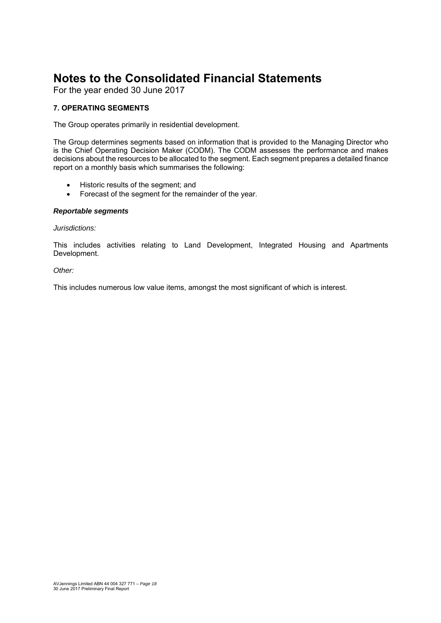For the year ended 30 June 2017

#### **7. OPERATING SEGMENTS**

The Group operates primarily in residential development.

The Group determines segments based on information that is provided to the Managing Director who is the Chief Operating Decision Maker (CODM). The CODM assesses the performance and makes decisions about the resources to be allocated to the segment. Each segment prepares a detailed finance report on a monthly basis which summarises the following:

- Historic results of the segment; and
- Forecast of the segment for the remainder of the year.

#### *Reportable segments*

#### *Jurisdictions:*

This includes activities relating to Land Development, Integrated Housing and Apartments Development.

#### *Other:*

This includes numerous low value items, amongst the most significant of which is interest.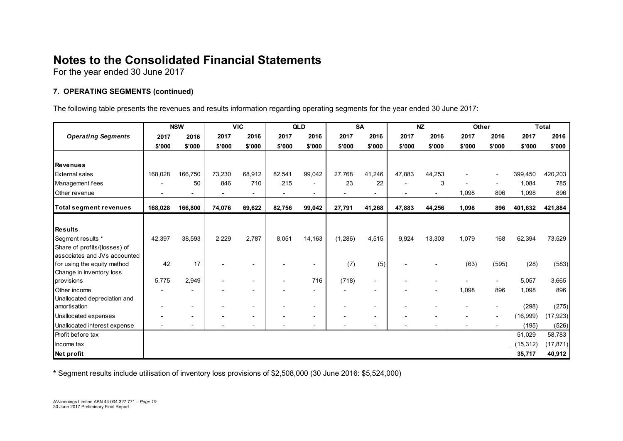For the year ended 30 June 2017

#### **7. OPERATING SEGMENTS (continued)**

The following table presents the revenues and results information regarding operating segments for the year ended 30 June 2017:

|                               |         | <b>NSW</b>               |        | <b>VIC</b> |                          | <b>QLD</b> |         | <b>SA</b>                |        | <b>NZ</b>                | Other  |                          |           | <b>Total</b> |
|-------------------------------|---------|--------------------------|--------|------------|--------------------------|------------|---------|--------------------------|--------|--------------------------|--------|--------------------------|-----------|--------------|
| <b>Operating Segments</b>     | 2017    | 2016                     | 2017   | 2016       | 2017                     | 2016       | 2017    | 2016                     | 2017   | 2016                     | 2017   | 2016                     | 2017      | 2016         |
|                               | \$'000  | \$'000                   | \$'000 | \$'000     | \$'000                   | \$'000     | \$'000  | \$'000                   | \$'000 | \$'000                   | \$'000 | \$'000                   | \$'000    | \$'000       |
|                               |         |                          |        |            |                          |            |         |                          |        |                          |        |                          |           |              |
| Revenues                      |         |                          |        |            |                          |            |         |                          |        |                          |        |                          |           |              |
| <b>External sales</b>         | 168,028 | 166,750                  | 73,230 | 68,912     | 82,541                   | 99,042     | 27,768  | 41,246                   | 47,883 | 44,253                   |        | $\overline{\phantom{a}}$ | 399,450   | 420,203      |
| Management fees               |         | 50                       | 846    | 710        | 215                      |            | 23      | 22                       |        | 3                        |        | $\overline{\phantom{a}}$ | 1,084     | 785          |
| Other revenue                 |         |                          |        |            |                          |            |         |                          |        |                          | 1,098  | 896                      | 1,098     | 896          |
| <b>Total segment revenues</b> | 168,028 | 166,800                  | 74,076 | 69,622     | 82,756                   | 99,042     | 27,791  | 41,268                   | 47,883 | 44,256                   | 1,098  | 896                      | 401,632   | 421,884      |
|                               |         |                          |        |            |                          |            |         |                          |        |                          |        |                          |           |              |
| <b>Results</b>                |         |                          |        |            |                          |            |         |                          |        |                          |        |                          |           |              |
| Segment results *             | 42,397  | 38,593                   | 2,229  | 2,787      | 8,051                    | 14,163     | (1,286) | 4,515                    | 9,924  | 13,303                   | 1,079  | 168                      | 62,394    | 73,529       |
| Share of profits/(losses) of  |         |                          |        |            |                          |            |         |                          |        |                          |        |                          |           |              |
| associates and JVs accounted  |         |                          |        |            |                          |            |         |                          |        |                          |        |                          |           |              |
| for using the equity method   | 42      | 17                       |        |            |                          |            | (7)     | (5)                      |        |                          | (63)   | (595)                    | (28)      | (583)        |
| Change in inventory loss      |         |                          |        |            |                          |            |         |                          |        |                          |        |                          |           |              |
| provisions                    | 5,775   | 2,949                    |        |            | $\overline{\phantom{a}}$ | 716        | (718)   |                          |        |                          |        | $\overline{\phantom{a}}$ | 5,057     | 3,665        |
| Other income                  |         |                          |        |            |                          |            |         |                          |        |                          | 1,098  | 896                      | 1,098     | 896          |
| Unallocated depreciation and  |         |                          |        |            |                          |            |         |                          |        |                          |        |                          |           |              |
| amortisation                  |         | $\overline{\phantom{a}}$ |        |            |                          |            |         | $\overline{\phantom{a}}$ |        | $\overline{\phantom{a}}$ |        | $\overline{\phantom{a}}$ | (298)     | (275)        |
| Unallocated expenses          |         | $\overline{\phantom{a}}$ |        |            |                          |            |         |                          |        |                          |        | $\overline{\phantom{a}}$ | (16,999)  | (17, 923)    |
| Unallocated interest expense  |         | $\overline{\phantom{a}}$ |        |            |                          |            |         |                          |        |                          |        | $\sim$                   | (195)     | (526)        |
| Profit before tax             |         |                          |        |            |                          |            |         |                          |        |                          |        |                          | 51,029    | 58,783       |
| Income tax                    |         |                          |        |            |                          |            |         |                          |        |                          |        |                          | (15, 312) | (17, 871)    |
| Net profit                    |         |                          |        |            |                          |            |         |                          |        |                          |        |                          | 35,717    | 40,912       |

**\*** Segment results include utilisation of inventory loss provisions of \$2,508,000 (30 June 2016: \$5,524,000)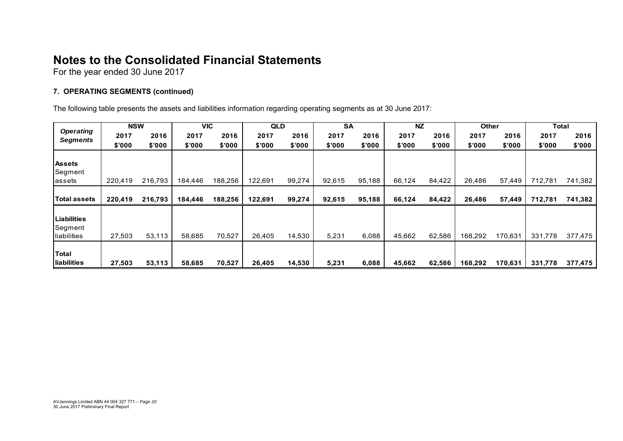For the year ended 30 June 2017

#### **7. OPERATING SEGMENTS (continued)**

The following table presents the assets and liabilities information regarding operating segments as at 30 June 2017:

| <b>Operating</b>    | <b>NSW</b> |         | <b>VIC</b> |         | <b>QLD</b> |        | <b>SA</b> |        | <b>NZ</b> |        | <b>Other</b> |         | Total   |         |
|---------------------|------------|---------|------------|---------|------------|--------|-----------|--------|-----------|--------|--------------|---------|---------|---------|
| <b>Segments</b>     | 2017       | 2016    | 2017       | 2016    | 2017       | 2016   | 2017      | 2016   | 2017      | 2016   | 2017         | 2016    | 2017    | 2016    |
|                     | \$'000     | \$'000  | \$'000     | \$'000  | \$'000     | \$'000 | \$'000    | \$'000 | \$'000    | \$'000 | \$'000       | \$'000  | \$'000  | \$'000  |
|                     |            |         |            |         |            |        |           |        |           |        |              |         |         |         |
| <b>Assets</b>       |            |         |            |         |            |        |           |        |           |        |              |         |         |         |
| Segment             |            |         |            |         |            |        |           |        |           |        |              |         |         |         |
| assets              | 220,419    | 216,793 | 184,446    | 188,256 | 122,691    | 99,274 | 92,615    | 95,188 | 66,124    | 84,422 | 26,486       | 57,449  | 712,781 | 741,382 |
|                     |            |         |            |         |            |        |           |        |           |        |              |         |         |         |
| <b>Total assets</b> | 220,419    | 216,793 | 184.446    | 188,256 | 122,691    | 99,274 | 92,615    | 95,188 | 66,124    | 84,422 | 26,486       | 57,449  | 712,781 | 741,382 |
|                     |            |         |            |         |            |        |           |        |           |        |              |         |         |         |
| Liabilities         |            |         |            |         |            |        |           |        |           |        |              |         |         |         |
| Segment             |            |         |            |         |            |        |           |        |           |        |              |         |         |         |
| <b>Iliabilities</b> | 27,503     | 53,113  | 58,685     | 70,527  | 26,405     | 14,530 | 5,231     | 6,088  | 45,662    | 62,586 | 168.292      | 170,631 | 331,778 | 377,475 |
|                     |            |         |            |         |            |        |           |        |           |        |              |         |         |         |
| <b>Total</b>        |            |         |            |         |            |        |           |        |           |        |              |         |         |         |
| liabilities         | 27,503     | 53,113  | 58,685     | 70,527  | 26,405     | 14,530 | 5,231     | 6,088  | 45,662    | 62,586 | 168,292      | 170,631 | 331,778 | 377,475 |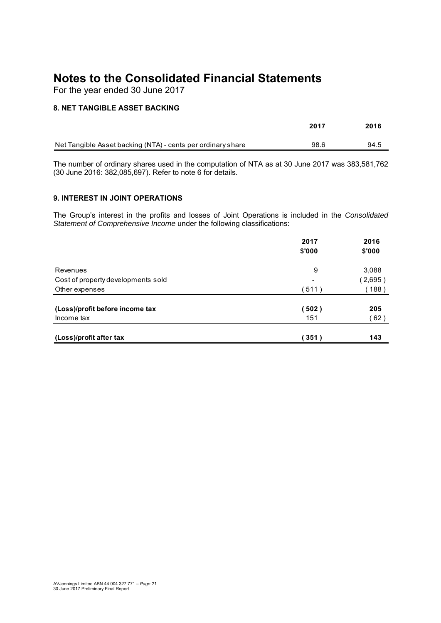For the year ended 30 June 2017

#### **8. NET TANGIBLE ASSET BACKING**

|                                                             | 2017 | 2016 |
|-------------------------------------------------------------|------|------|
| Net Tangible Asset backing (NTA) - cents per ordinary share | 98.6 | 94.5 |

The number of ordinary shares used in the computation of NTA as at 30 June 2017 was 383,581,762 (30 June 2016: 382,085,697). Refer to note 6 for details.

#### **9. INTEREST IN JOINT OPERATIONS**

The Group's interest in the profits and losses of Joint Operations is included in the *Consolidated Statement of Comprehensive Income* under the following classifications:

|                                    | 2017   | 2016    |
|------------------------------------|--------|---------|
|                                    | \$'000 | \$'000  |
| Revenues                           | 9      | 3,088   |
| Cost of property developments sold |        | (2,695) |
| Other expenses                     | 511)   | 188)    |
| (Loss)/profit before income tax    | 502)   | 205     |
| Income tax                         | 151    | 62)     |
| (Loss)/profit after tax            | 351)   | 143     |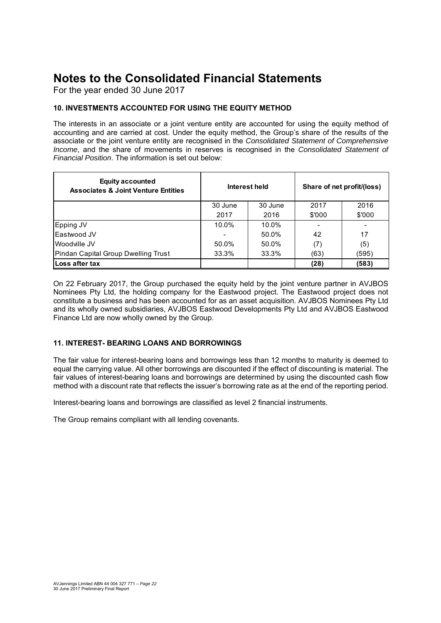For the year ended 30 June 2017

#### **10. INVESTMENTS ACCOUNTED FOR USING THE EQUITY METHOD**

The interests in an associate or a joint venture entity are accounted for using the equity method of accounting and are carried at cost. Under the equity method, the Group's share of the results of the associate or the joint venture entity are recognised in the *Consolidated Statement of Comprehensive Income*, and the share of movements in reserves is recognised in the *Consolidated Statement of Financial Position*. The information is set out below:

| <b>Equity accounted</b><br><b>Associates &amp; Joint Venture Entities</b> |         | Interest held | Share of net profit/(loss) |        |  |
|---------------------------------------------------------------------------|---------|---------------|----------------------------|--------|--|
|                                                                           | 30 June | 30 June       | 2017                       | 2016   |  |
|                                                                           | 2017    | 2016          | \$'000                     | \$'000 |  |
| Epping JV                                                                 | 10.0%   | 10.0%         |                            |        |  |
| Eastwood JV                                                               |         | 50.0%         | 42                         | 17     |  |
| Woodville JV                                                              | 50.0%   | 50.0%         | (7)                        | (5)    |  |
| Pindan Capital Group Dwelling Trust                                       | 33.3%   | 33.3%         | (63)                       | (595)  |  |
| Loss after tax                                                            |         |               | (28)                       | (583)  |  |

On 22 February 2017, the Group purchased the equity held by the joint venture partner in AVJBOS Nominees Pty Ltd, the holding company for the Eastwood project. The Eastwood project does not constitute a business and has been accounted for as an asset acquisition. AVJBOS Nominees Pty Ltd and its wholly owned subsidiaries, AVJBOS Eastwood Developments Pty Ltd and AVJBOS Eastwood Finance Ltd are now wholly owned by the Group.

#### **11. INTEREST- BEARING LOANS AND BORROWINGS**

The fair value for interest-bearing loans and borrowings less than 12 months to maturity is deemed to equal the carrying value. All other borrowings are discounted if the effect of discounting is material. The fair values of interest-bearing loans and borrowings are determined by using the discounted cash flow method with a discount rate that reflects the issuer's borrowing rate as at the end of the reporting period.

Interest-bearing loans and borrowings are classified as level 2 financial instruments.

The Group remains compliant with all lending covenants.